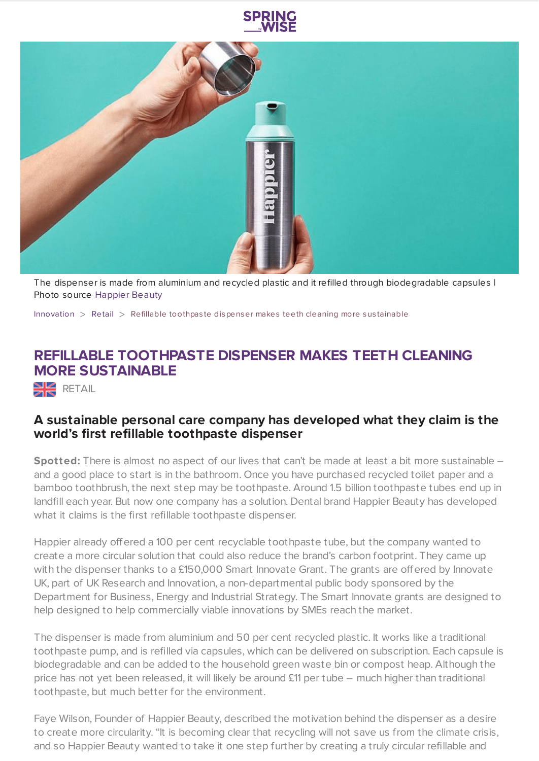



The dispenser is made from aluminium and recycled plastic and it refilled through biodegradable capsules | Photo source [Happier](https://happierbeauty.com/) Beauty

[Innovation](https://www.springwise.com/search?type=innovation)  $>$  [Retail](https://www.springwise.com/search?type=innovation§or=retail)  $>$  Refillable toothpaste dispenser makes teeth cleaning more sustainable

## **REFILLABLE TOOTHPASTE DISPENSER MAKES TEETH CLEANING MORE SUSTAINABLE**

 $R$  RETAIL

## **A sustainable personal care company has developed what they claim is the world's first refillable toothpaste dispenser**

**Spotted:** There is almost no aspect of our lives that can't be made at least a bit more sustainable – and a good place to start is in the bathroom. Once you have purchased recycled toilet paper and a bamboo toothbrush, the next step may be toothpaste. Around 1.5 billion toothpaste tubes end up in landfill each year. But now one company has a solution. Dental brand Happier Beauty has developed what it claims is the first refillable toothpaste dispenser.

Happier already offered a 100 per cent recyclable toothpaste tube, but the company wanted to create a more circular solution that could also reduce the brand's carbon footprint. They came up with the dispenser thanks to a £150,000 Smart Innovate Grant. The grants are offered by Innovate UK, part of UK Research and Innovation, a non-departmental public body sponsored by the Department for Business, Energy and Industrial Strategy. The Smart Innovate grants are designed to help designed to help commercially viable innovations by SMEs reach the market.

The dispenser is made from aluminium and 50 per cent recycled plastic. It works like a traditional toothpaste pump, and is refilled via capsules, which can be delivered on subscription. Each capsule is biodegradable and can be added to the household green waste bin or compost heap. Although the price has not yet been released, it will likely be around £11 per tube – much higher than traditional toothpaste, but much better for the environment.

Faye Wilson, Founder of Happier Beauty, described the motivation behind the dispenser as a desire to create more circularity. "It is becoming clear that recycling will not save us from the climate crisis, and so Happier Beauty wanted to take it one step further by creating a truly circular refillable and